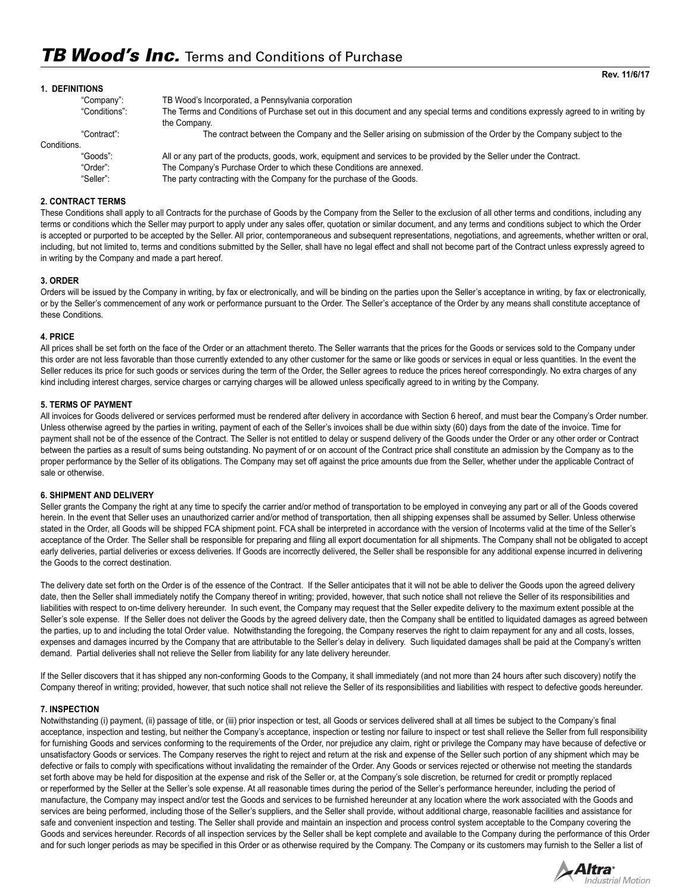| 1. DEFINITIONS |                                                                                                                                                      |
|----------------|------------------------------------------------------------------------------------------------------------------------------------------------------|
| "Company":     | TB Wood's Incorporated, a Pennsylvania corporation                                                                                                   |
| "Conditions":  | The Terms and Conditions of Purchase set out in this document and any special terms and conditions expressly agreed to in writing by<br>the Company. |
| "Contract":    | The contract between the Company and the Seller arising on submission of the Order by the Company subject to the                                     |
| Conditions.    |                                                                                                                                                      |
| "Goods":       | All or any part of the products, goods, work, equipment and services to be provided by the Seller under the Contract.                                |
| "Order":       | The Company's Purchase Order to which these Conditions are annexed.                                                                                  |
| "Seller":      | The party contracting with the Company for the purchase of the Goods.                                                                                |
|                |                                                                                                                                                      |

## **2. CONTRACT TERMS**

These Conditions shall apply to all Contracts for the purchase of Goods by the Company from the Seller to the exclusion of all other terms and conditions, including any terms or conditions which the Seller may purport to apply under any sales offer, quotation or similar document, and any terms and conditions subject to which the Order is accepted or purported to be accepted by the Seller. All prior, contemporaneous and subsequent representations, negotiations, and agreements, whether written or oral, including, but not limited to, terms and conditions submitted by the Seller, shall have no legal effect and shall not become part of the Contract unless expressly agreed to in writing by the Company and made a part hereof.

### **3. ORDER**

Orders will be issued by the Company in writing, by fax or electronically, and will be binding on the parties upon the Seller's acceptance in writing, by fax or electronically, or by the Seller's commencement of any work or performance pursuant to the Order. The Seller's acceptance of the Order by any means shall constitute acceptance of these Conditions.

## **4. PRICE**

All prices shall be set forth on the face of the Order or an attachment thereto. The Seller warrants that the prices for the Goods or services sold to the Company under this order are not less favorable than those currently extended to any other customer for the same or like goods or services in equal or less quantities. In the event the Seller reduces its price for such goods or services during the term of the Order, the Seller agrees to reduce the prices hereof correspondingly. No extra charges of any kind including interest charges, service charges or carrying charges will be allowed unless specifically agreed to in writing by the Company.

## **5. TERMS OF PAYMENT**

All invoices for Goods delivered or services performed must be rendered after delivery in accordance with Section 6 hereof, and must bear the Company's Order number. Unless otherwise agreed by the parties in writing, payment of each of the Seller's invoices shall be due within sixty (60) days from the date of the invoice. Time for payment shall not be of the essence of the Contract. The Seller is not entitled to delay or suspend delivery of the Goods under the Order or any other order or Contract between the parties as a result of sums being outstanding. No payment of or on account of the Contract price shall constitute an admission by the Company as to the proper performance by the Seller of its obligations. The Company may set off against the price amounts due from the Seller, whether under the applicable Contract of sale or otherwise.

## **6. SHIPMENT AND DELIVERY**

Seller grants the Company the right at any time to specify the carrier and/or method of transportation to be employed in conveying any part or all of the Goods covered herein. In the event that Seller uses an unauthorized carrier and/or method of transportation, then all shipping expenses shall be assumed by Seller. Unless otherwise stated in the Order, all Goods will be shipped FCA shipment point. FCA shall be interpreted in accordance with the version of Incoterms valid at the time of the Seller's acceptance of the Order. The Seller shall be responsible for preparing and filing all export documentation for all shipments. The Company shall not be obligated to accept early deliveries, partial deliveries or excess deliveries. If Goods are incorrectly delivered, the Seller shall be responsible for any additional expense incurred in delivering the Goods to the correct destination.

The delivery date set forth on the Order is of the essence of the Contract. If the Seller anticipates that it will not be able to deliver the Goods upon the agreed delivery date, then the Seller shall immediately notify the Company thereof in writing; provided, however, that such notice shall not relieve the Seller of its responsibilities and liabilities with respect to on-time delivery hereunder. In such event, the Company may request that the Seller expedite delivery to the maximum extent possible at the Seller's sole expense. If the Seller does not deliver the Goods by the agreed delivery date, then the Company shall be entitled to liquidated damages as agreed between the parties, up to and including the total Order value. Notwithstanding the foregoing, the Company reserves the right to claim repayment for any and all costs, losses, expenses and damages incurred by the Company that are attributable to the Seller's delay in delivery. Such liquidated damages shall be paid at the Company's written demand. Partial deliveries shall not relieve the Seller from liability for any late delivery hereunder.

If the Seller discovers that it has shipped any non-conforming Goods to the Company, it shall immediately (and not more than 24 hours after such discovery) notify the Company thereof in writing; provided, however, that such notice shall not relieve the Seller of its responsibilities and liabilities with respect to defective goods hereunder.

### **7. INSPECTION**

Notwithstanding (i) payment, (ii) passage of title, or (iii) prior inspection or test, all Goods or services delivered shall at all times be subject to the Company's final acceptance, inspection and testing, but neither the Company's acceptance, inspection or testing nor failure to inspect or test shall relieve the Seller from full responsibility for furnishing Goods and services conforming to the requirements of the Order, nor prejudice any claim, right or privilege the Company may have because of defective or unsatisfactory Goods or services. The Company reserves the right to reject and return at the risk and expense of the Seller such portion of any shipment which may be defective or fails to comply with specifications without invalidating the remainder of the Order. Any Goods or services rejected or otherwise not meeting the standards set forth above may be held for disposition at the expense and risk of the Seller or, at the Company's sole discretion, be returned for credit or promptly replaced or reperformed by the Seller at the Seller's sole expense. At all reasonable times during the period of the Seller's performance hereunder, including the period of manufacture, the Company may inspect and/or test the Goods and services to be furnished hereunder at any location where the work associated with the Goods and services are being performed, including those of the Seller's suppliers, and the Seller shall provide, without additional charge, reasonable facilities and assistance for safe and convenient inspection and testing. The Seller shall provide and maintain an inspection and process control system acceptable to the Company covering the Goods and services hereunder. Records of all inspection services by the Seller shall be kept complete and available to the Company during the performance of this Order and for such longer periods as may be specified in this Order or as otherwise required by the Company. The Company or its customers may furnish to the Seller a list of

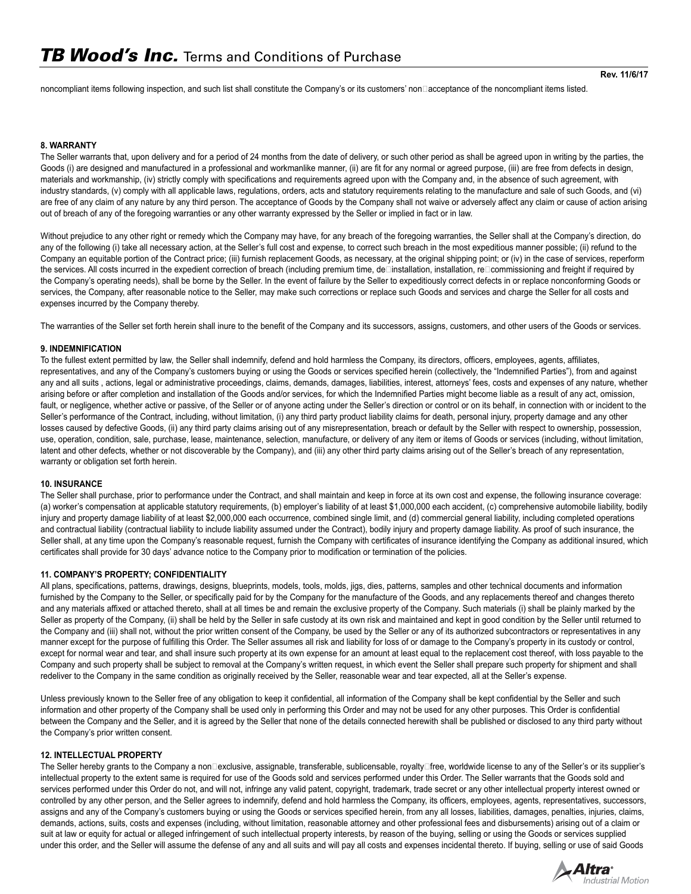**Rev. 11/6/17**

noncompliant items following inspection, and such list shall constitute the Company's or its customers' non⊡acceptance of the noncompliant items listed.

## **8. WARRANTY**

The Seller warrants that, upon delivery and for a period of 24 months from the date of delivery, or such other period as shall be agreed upon in writing by the parties, the Goods (i) are designed and manufactured in a professional and workmanlike manner, (ii) are fit for any normal or agreed purpose, (iii) are free from defects in design, materials and workmanship, (iv) strictly comply with specifications and requirements agreed upon with the Company and, in the absence of such agreement, with industry standards, (v) comply with all applicable laws, regulations, orders, acts and statutory requirements relating to the manufacture and sale of such Goods, and (vi) are free of any claim of any nature by any third person. The acceptance of Goods by the Company shall not waive or adversely affect any claim or cause of action arising out of breach of any of the foregoing warranties or any other warranty expressed by the Seller or implied in fact or in law.

Without prejudice to any other right or remedy which the Company may have, for any breach of the foregoing warranties, the Seller shall at the Company's direction, do any of the following (i) take all necessary action, at the Seller's full cost and expense, to correct such breach in the most expeditious manner possible; (ii) refund to the Company an equitable portion of the Contract price; (iii) furnish replacement Goods, as necessary, at the original shipping point; or (iv) in the case of services, reperform the services. All costs incurred in the expedient correction of breach (including premium time, de□installation, installation, re□commissioning and freight if required by the Company's operating needs), shall be borne by the Seller. In the event of failure by the Seller to expeditiously correct defects in or replace nonconforming Goods or services, the Company, after reasonable notice to the Seller, may make such corrections or replace such Goods and services and charge the Seller for all costs and expenses incurred by the Company thereby.

The warranties of the Seller set forth herein shall inure to the benefit of the Company and its successors, assigns, customers, and other users of the Goods or services.

## **9. INDEMNIFICATION**

To the fullest extent permitted by law, the Seller shall indemnify, defend and hold harmless the Company, its directors, officers, employees, agents, affiliates, representatives, and any of the Company's customers buying or using the Goods or services specified herein (collectively, the "Indemnified Parties"), from and against any and all suits , actions, legal or administrative proceedings, claims, demands, damages, liabilities, interest, attorneys' fees, costs and expenses of any nature, whether arising before or after completion and installation of the Goods and/or services, for which the Indemnified Parties might become liable as a result of any act, omission, fault, or negligence, whether active or passive, of the Seller or of anyone acting under the Seller's direction or control or on its behalf, in connection with or incident to the Seller's performance of the Contract, including, without limitation, (i) any third party product liability claims for death, personal injury, property damage and any other losses caused by defective Goods, (ii) any third party claims arising out of any misrepresentation, breach or default by the Seller with respect to ownership, possession, use, operation, condition, sale, purchase, lease, maintenance, selection, manufacture, or delivery of any item or items of Goods or services (including, without limitation, latent and other defects, whether or not discoverable by the Company), and (iii) any other third party claims arising out of the Seller's breach of any representation, warranty or obligation set forth herein.

## **10. INSURANCE**

The Seller shall purchase, prior to performance under the Contract, and shall maintain and keep in force at its own cost and expense, the following insurance coverage: (a) worker's compensation at applicable statutory requirements, (b) employer's liability of at least \$1,000,000 each accident, (c) comprehensive automobile liability, bodily injury and property damage liability of at least \$2,000,000 each occurrence, combined single limit, and (d) commercial general liability, including completed operations and contractual liability (contractual liability to include liability assumed under the Contract), bodily injury and property damage liability. As proof of such insurance, the Seller shall, at any time upon the Company's reasonable request, furnish the Company with certificates of insurance identifying the Company as additional insured, which certificates shall provide for 30 days' advance notice to the Company prior to modification or termination of the policies.

### **11. COMPANY'S PROPERTY; CONFIDENTIALITY**

All plans, specifications, patterns, drawings, designs, blueprints, models, tools, molds, jigs, dies, patterns, samples and other technical documents and information furnished by the Company to the Seller, or specifically paid for by the Company for the manufacture of the Goods, and any replacements thereof and changes thereto and any materials affixed or attached thereto, shall at all times be and remain the exclusive property of the Company. Such materials (i) shall be plainly marked by the Seller as property of the Company, (ii) shall be held by the Seller in safe custody at its own risk and maintained and kept in good condition by the Seller until returned to the Company and (iii) shall not, without the prior written consent of the Company, be used by the Seller or any of its authorized subcontractors or representatives in any manner except for the purpose of fulfilling this Order. The Seller assumes all risk and liability for loss of or damage to the Company's property in its custody or control, except for normal wear and tear, and shall insure such property at its own expense for an amount at least equal to the replacement cost thereof, with loss payable to the Company and such property shall be subject to removal at the Company's written request, in which event the Seller shall prepare such property for shipment and shall redeliver to the Company in the same condition as originally received by the Seller, reasonable wear and tear expected, all at the Seller's expense.

Unless previously known to the Seller free of any obligation to keep it confidential, all information of the Company shall be kept confidential by the Seller and such information and other property of the Company shall be used only in performing this Order and may not be used for any other purposes. This Order is confidential between the Company and the Seller, and it is agreed by the Seller that none of the details connected herewith shall be published or disclosed to any third party without the Company's prior written consent.

### **12. INTELLECTUAL PROPERTY**

The Seller hereby grants to the Company a non□exclusive, assignable, transferable, sublicensable, royalty□free, worldwide license to any of the Seller's or its supplier's intellectual property to the extent same is required for use of the Goods sold and services performed under this Order. The Seller warrants that the Goods sold and services performed under this Order do not, and will not, infringe any valid patent, copyright, trademark, trade secret or any other intellectual property interest owned or controlled by any other person, and the Seller agrees to indemnify, defend and hold harmless the Company, its officers, employees, agents, representatives, successors, assigns and any of the Company's customers buying or using the Goods or services specified herein, from any all losses, liabilities, damages, penalties, injuries, claims, demands, actions, suits, costs and expenses (including, without limitation, reasonable attorney and other professional fees and disbursements) arising out of a claim or suit at law or equity for actual or alleged infringement of such intellectual property interests, by reason of the buying, selling or using the Goods or services supplied under this order, and the Seller will assume the defense of any and all suits and will pay all costs and expenses incidental thereto. If buying, selling or use of said Goods

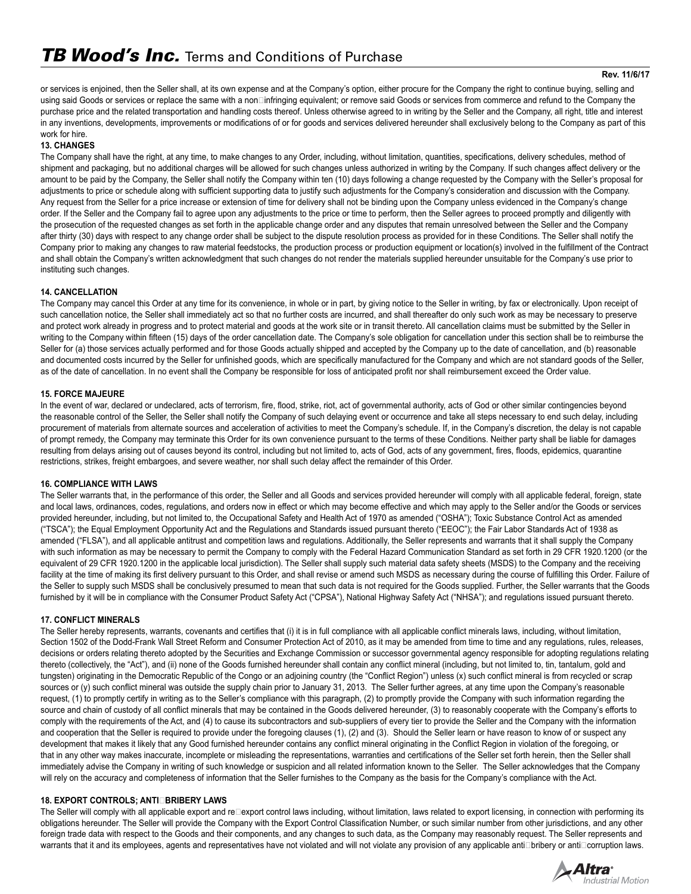## **Rev. 11/6/17**

or services is enjoined, then the Seller shall, at its own expense and at the Company's option, either procure for the Company the right to continue buying, selling and using said Goods or services or replace the same with a non□infringing equivalent; or remove said Goods or services from commerce and refund to the Company the purchase price and the related transportation and handling costs thereof. Unless otherwise agreed to in writing by the Seller and the Company, all right, title and interest in any inventions, developments, improvements or modifications of or for goods and services delivered hereunder shall exclusively belong to the Company as part of this work for hire.

# **13. CHANGES**

The Company shall have the right, at any time, to make changes to any Order, including, without limitation, quantities, specifications, delivery schedules, method of shipment and packaging, but no additional charges will be allowed for such changes unless authorized in writing by the Company. If such changes affect delivery or the amount to be paid by the Company, the Seller shall notify the Company within ten (10) days following a change requested by the Company with the Seller's proposal for adjustments to price or schedule along with sufficient supporting data to justify such adjustments for the Company's consideration and discussion with the Company. Any request from the Seller for a price increase or extension of time for delivery shall not be binding upon the Company unless evidenced in the Company's change order. If the Seller and the Company fail to agree upon any adjustments to the price or time to perform, then the Seller agrees to proceed promptly and diligently with the prosecution of the requested changes as set forth in the applicable change order and any disputes that remain unresolved between the Seller and the Company after thirty (30) days with respect to any change order shall be subject to the dispute resolution process as provided for in these Conditions. The Seller shall notify the Company prior to making any changes to raw material feedstocks, the production process or production equipment or location(s) involved in the fulfillment of the Contract and shall obtain the Company's written acknowledgment that such changes do not render the materials supplied hereunder unsuitable for the Company's use prior to instituting such changes.

# **14. CANCELLATION**

The Company may cancel this Order at any time for its convenience, in whole or in part, by giving notice to the Seller in writing, by fax or electronically. Upon receipt of such cancellation notice, the Seller shall immediately act so that no further costs are incurred, and shall thereafter do only such work as may be necessary to preserve and protect work already in progress and to protect material and goods at the work site or in transit thereto. All cancellation claims must be submitted by the Seller in writing to the Company within fifteen (15) days of the order cancellation date. The Company's sole obligation for cancellation under this section shall be to reimburse the Seller for (a) those services actually performed and for those Goods actually shipped and accepted by the Company up to the date of cancellation, and (b) reasonable and documented costs incurred by the Seller for unfinished goods, which are specifically manufactured for the Company and which are not standard goods of the Seller, as of the date of cancellation. In no event shall the Company be responsible for loss of anticipated profit nor shall reimbursement exceed the Order value.

# **15. FORCE MAJEURE**

In the event of war, declared or undeclared, acts of terrorism, fire, flood, strike, riot, act of governmental authority, acts of God or other similar contingencies beyond the reasonable control of the Seller, the Seller shall notify the Company of such delaying event or occurrence and take all steps necessary to end such delay, including procurement of materials from alternate sources and acceleration of activities to meet the Company's schedule. If, in the Company's discretion, the delay is not capable of prompt remedy, the Company may terminate this Order for its own convenience pursuant to the terms of these Conditions. Neither party shall be liable for damages resulting from delays arising out of causes beyond its control, including but not limited to, acts of God, acts of any government, fires, floods, epidemics, quarantine restrictions, strikes, freight embargoes, and severe weather, nor shall such delay affect the remainder of this Order.

# **16. COMPLIANCE WITH LAWS**

The Seller warrants that, in the performance of this order, the Seller and all Goods and services provided hereunder will comply with all applicable federal, foreign, state and local laws, ordinances, codes, regulations, and orders now in effect or which may become effective and which may apply to the Seller and/or the Goods or services provided hereunder, including, but not limited to, the Occupational Safety and Health Act of 1970 as amended ("OSHA"); Toxic Substance Control Act as amended ("TSCA"); the Equal Employment Opportunity Act and the Regulations and Standards issued pursuant thereto ("EEOC"); the Fair Labor Standards Act of 1938 as amended ("FLSA"), and all applicable antitrust and competition laws and regulations. Additionally, the Seller represents and warrants that it shall supply the Company with such information as may be necessary to permit the Company to comply with the Federal Hazard Communication Standard as set forth in 29 CFR 1920.1200 (or the equivalent of 29 CFR 1920.1200 in the applicable local jurisdiction). The Seller shall supply such material data safety sheets (MSDS) to the Company and the receiving facility at the time of making its first delivery pursuant to this Order, and shall revise or amend such MSDS as necessary during the course of fulfilling this Order. Failure of the Seller to supply such MSDS shall be conclusively presumed to mean that such data is not required for the Goods supplied. Further, the Seller warrants that the Goods furnished by it will be in compliance with the Consumer Product Safety Act ("CPSA"), National Highway Safety Act ("NHSA"); and regulations issued pursuant thereto.

# **17. CONFLICT MINERALS**

The Seller hereby represents, warrants, covenants and certifies that (i) it is in full compliance with all applicable conflict minerals laws, including, without limitation, Section 1502 of the Dodd-Frank Wall Street Reform and Consumer Protection Act of 2010, as it may be amended from time to time and any regulations, rules, releases, decisions or orders relating thereto adopted by the Securities and Exchange Commission or successor governmental agency responsible for adopting regulations relating thereto (collectively, the "Act"), and (ii) none of the Goods furnished hereunder shall contain any conflict mineral (including, but not limited to, tin, tantalum, gold and tungsten) originating in the Democratic Republic of the Congo or an adjoining country (the "Conflict Region") unless (x) such conflict mineral is from recycled or scrap sources or (y) such conflict mineral was outside the supply chain prior to January 31, 2013. The Seller further agrees, at any time upon the Company's reasonable request, (1) to promptly certify in writing as to the Seller's compliance with this paragraph, (2) to promptly provide the Company with such information regarding the source and chain of custody of all conflict minerals that may be contained in the Goods delivered hereunder, (3) to reasonably cooperate with the Company's efforts to comply with the requirements of the Act, and (4) to cause its subcontractors and sub-suppliers of every tier to provide the Seller and the Company with the information and cooperation that the Seller is required to provide under the foregoing clauses (1), (2) and (3). Should the Seller learn or have reason to know of or suspect any development that makes it likely that any Good furnished hereunder contains any conflict mineral originating in the Conflict Region in violation of the foregoing, or that in any other way makes inaccurate, incomplete or misleading the representations, warranties and certifications of the Seller set forth herein, then the Seller shall immediately advise the Company in writing of such knowledge or suspicion and all related information known to the Seller. The Seller acknowledges that the Company will rely on the accuracy and completeness of information that the Seller furnishes to the Company as the basis for the Company's compliance with the Act.

# **18. EXPORT CONTROLS; ANTIEBRIBERY LAWS**

The Seller will comply with all applicable export and re⊡export control laws including, without limitation, laws related to export licensing, in connection with performing its obligations hereunder. The Seller will provide the Company with the Export Control Classification Number, or such similar number from other jurisdictions, and any other foreign trade data with respect to the Goods and their components, and any changes to such data, as the Company may reasonably request. The Seller represents and warrants that it and its employees, agents and representatives have not violated and will not violate any provision of any applicable anti□bribery or anti□corruption laws.